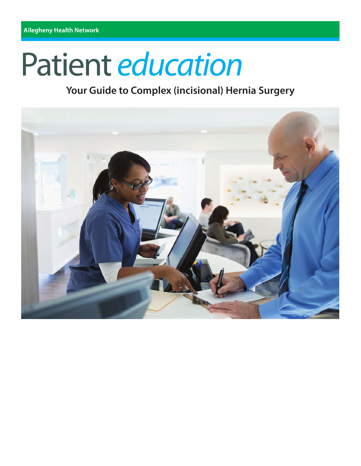# Patient education

# **Your Guide to Complex (incisional) Hernia Surgery**

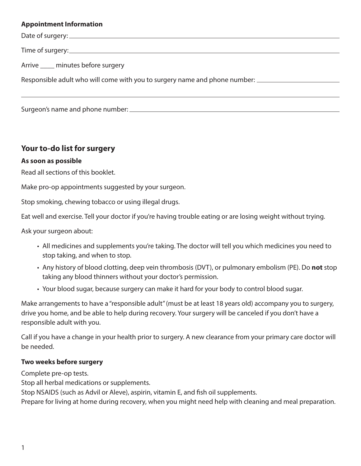#### **Appointment Information**

Date of surgery: Time of surgery: Time of surgery: Arrive minutes before surgery Responsible adult who will come with you to surgery name and phone number: \_\_\_\_\_\_\_\_\_\_\_\_\_\_\_\_\_\_\_\_\_\_\_\_

Surgeon's name and phone number:

# **Your to-do list for surgery**

#### **As soon as possible**

Read all sections of this booklet.

Make pro-op appointments suggested by your surgeon.

Stop smoking, chewing tobacco or using illegal drugs.

Eat well and exercise. Tell your doctor if you're having trouble eating or are losing weight without trying.

Ask your surgeon about:

- All medicines and supplements you're taking. The doctor will tell you which medicines you need to stop taking, and when to stop.
- Any history of blood clotting, deep vein thrombosis (DVT), or pulmonary embolism (PE). Do **not** stop taking any blood thinners without your doctor's permission.
- Your blood sugar, because surgery can make it hard for your body to control blood sugar.

Make arrangements to have a "responsible adult" (must be at least 18 years old) accompany you to surgery, drive you home, and be able to help during recovery. Your surgery will be canceled if you don't have a responsible adult with you.

Call if you have a change in your health prior to surgery. A new clearance from your primary care doctor will be needed.

#### **Two weeks before surgery**

Complete pre-op tests.

Stop all herbal medications or supplements.

Stop NSAIDS (such as Advil or Aleve), aspirin, vitamin E, and fish oil supplements.

Prepare for living at home during recovery, when you might need help with cleaning and meal preparation.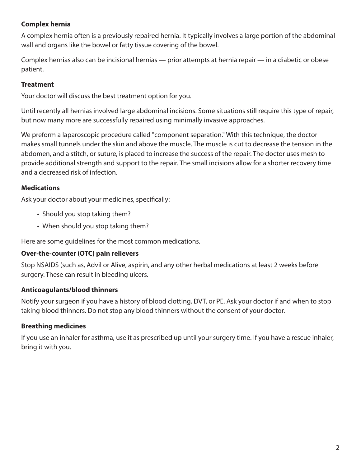# **Complex hernia**

A complex hernia often is a previously repaired hernia. It typically involves a large portion of the abdominal wall and organs like the bowel or fatty tissue covering of the bowel.

Complex hernias also can be incisional hernias — prior attempts at hernia repair — in a diabetic or obese patient.

# **Treatment**

Your doctor will discuss the best treatment option for you.

Until recently all hernias involved large abdominal incisions. Some situations still require this type of repair, but now many more are successfully repaired using minimally invasive approaches.

We preform a laparoscopic procedure called "component separation." With this technique, the doctor makes small tunnels under the skin and above the muscle. The muscle is cut to decrease the tension in the abdomen, and a stitch, or suture, is placed to increase the success of the repair. The doctor uses mesh to provide additional strength and support to the repair. The small incisions allow for a shorter recovery time and a decreased risk of infection.

# **Medications**

Ask your doctor about your medicines, specifically:

- Should you stop taking them?
- When should you stop taking them?

Here are some guidelines for the most common medications.

#### **Over-the-counter (OTC) pain relievers**

Stop NSAIDS (such as, Advil or Alive, aspirin, and any other herbal medications at least 2 weeks before surgery. These can result in bleeding ulcers.

# **Anticoagulants/blood thinners**

Notify your surgeon if you have a history of blood clotting, DVT, or PE. Ask your doctor if and when to stop taking blood thinners. Do not stop any blood thinners without the consent of your doctor.

# **Breathing medicines**

If you use an inhaler for asthma, use it as prescribed up until your surgery time. If you have a rescue inhaler, bring it with you.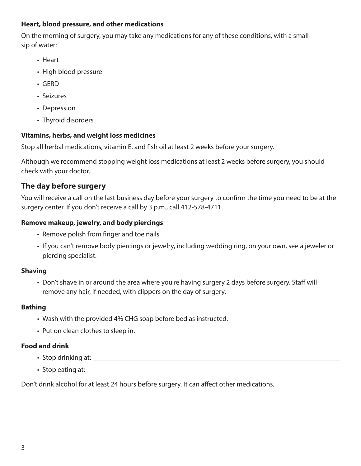#### **Heart, blood pressure, and other medications**

On the morning of surgery, you may take any medications for any of these conditions, with a small sip of water:

- Heart
- High blood pressure
- GERD
- Seizures
- Depression
- Thyroid disorders

#### **Vitamins, herbs, and weight loss medicines**

Stop all herbal medications, vitamin E, and fish oil at least 2 weeks before your surgery.

Although we recommend stopping weight loss medications at least 2 weeks before surgery, you should check with your doctor.

# **The day before surgery**

You will receive a call on the last business day before your surgery to confirm the time you need to be at the surgery center. If you don't receive a call by 3 p.m., call 412-578-4711.

# **Remove makeup, jewelry, and body piercings**

- Remove polish from finger and toe nails.
- If you can't remove body piercings or jewelry, including wedding ring, on your own, see a jeweler or piercing specialist.

#### **Shaving**

• Don't shave in or around the area where you're having surgery 2 days before surgery. Staff will remove any hair, if needed, with clippers on the day of surgery.

#### **Bathing**

- Wash with the provided 4% CHG soap before bed as instructed.
- Put on clean clothes to sleep in.

#### **Food and drink**

- Stop drinking at:
- Stop eating at: <u>example and a set of the set of the set of the set of the set of the set of the set of the set of the set of the set of the set of the set of the set of the set of the set of the set of the set of the se</u>

Don't drink alcohol for at least 24 hours before surgery. It can affect other medications.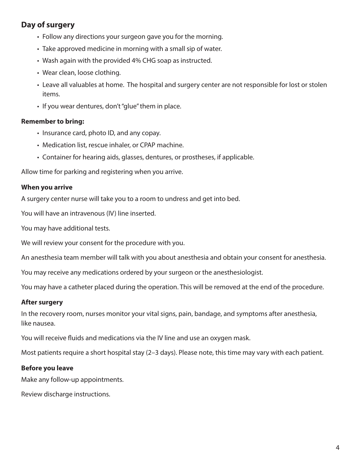# **Day of surgery**

- Follow any directions your surgeon gave you for the morning.
- Take approved medicine in morning with a small sip of water.
- Wash again with the provided 4% CHG soap as instructed.
- Wear clean, loose clothing.
- Leave all valuables at home. The hospital and surgery center are not responsible for lost or stolen items.
- If you wear dentures, don't "glue" them in place.

#### **Remember to bring:**

- Insurance card, photo ID, and any copay.
- Medication list, rescue inhaler, or CPAP machine.
- Container for hearing aids, glasses, dentures, or prostheses, if applicable.

Allow time for parking and registering when you arrive.

#### **When you arrive**

A surgery center nurse will take you to a room to undress and get into bed.

You will have an intravenous (IV) line inserted.

You may have additional tests.

We will review your consent for the procedure with you.

An anesthesia team member will talk with you about anesthesia and obtain your consent for anesthesia.

You may receive any medications ordered by your surgeon or the anesthesiologist.

You may have a catheter placed during the operation. This will be removed at the end of the procedure.

#### **After surgery**

In the recovery room, nurses monitor your vital signs, pain, bandage, and symptoms after anesthesia, like nausea.

You will receive fluids and medications via the IV line and use an oxygen mask.

Most patients require a short hospital stay (2–3 days). Please note, this time may vary with each patient.

#### **Before you leave**

Make any follow-up appointments.

Review discharge instructions.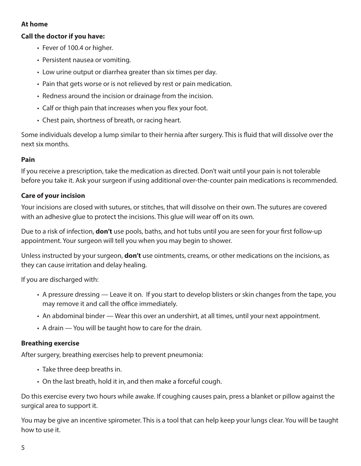#### **At home**

#### **Call the doctor if you have:**

- Fever of 100.4 or higher.
- Persistent nausea or vomiting.
- Low urine output or diarrhea greater than six times per day.
- Pain that gets worse or is not relieved by rest or pain medication.
- Redness around the incision or drainage from the incision.
- Calf or thigh pain that increases when you flex your foot.
- Chest pain, shortness of breath, or racing heart.

Some individuals develop a lump similar to their hernia after surgery. This is fluid that will dissolve over the next six months.

#### **Pain**

If you receive a prescription, take the medication as directed. Don't wait until your pain is not tolerable before you take it. Ask your surgeon if using additional over-the-counter pain medications is recommended.

#### **Care of your incision**

Your incisions are closed with sutures, or stitches, that will dissolve on their own. The sutures are covered with an adhesive glue to protect the incisions. This glue will wear off on its own.

Due to a risk of infection, **don't** use pools, baths, and hot tubs until you are seen for your first follow-up appointment. Your surgeon will tell you when you may begin to shower.

Unless instructed by your surgeon, **don't** use ointments, creams, or other medications on the incisions, as they can cause irritation and delay healing.

If you are discharged with:

- A pressure dressing Leave it on. If you start to develop blisters or skin changes from the tape, you may remove it and call the office immediately.
- An abdominal binder Wear this over an undershirt, at all times, until your next appointment.
- A drain You will be taught how to care for the drain.

#### **Breathing exercise**

After surgery, breathing exercises help to prevent pneumonia:

- Take three deep breaths in.
- On the last breath, hold it in, and then make a forceful cough.

Do this exercise every two hours while awake. If coughing causes pain, press a blanket or pillow against the surgical area to support it.

You may be give an incentive spirometer. This is a tool that can help keep your lungs clear. You will be taught how to use it.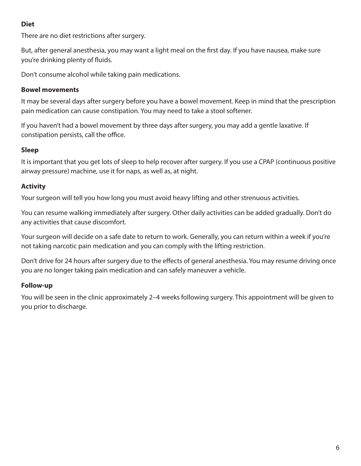# **Diet**

There are no diet restrictions after surgery.

But, after general anesthesia, you may want a light meal on the first day. If you have nausea, make sure you're drinking plenty of fluids.

Don't consume alcohol while taking pain medications.

# **Bowel movements**

It may be several days after surgery before you have a bowel movement. Keep in mind that the prescription pain medication can cause constipation. You may need to take a stool softener.

If you haven't had a bowel movement by three days after surgery, you may add a gentle laxative. If constipation persists, call the office.

# **Sleep**

It is important that you get lots of sleep to help recover after surgery. If you use a CPAP (continuous positive airway pressure) machine, use it for naps, as well as, at night.

# **Activity**

Your surgeon will tell you how long you must avoid heavy lifting and other strenuous activities.

You can resume walking immediately after surgery. Other daily activities can be added gradually. Don't do any activities that cause discomfort.

Your surgeon will decide on a safe date to return to work. Generally, you can return within a week if you're not taking narcotic pain medication and you can comply with the lifting restriction.

Don't drive for 24 hours after surgery due to the effects of general anesthesia. You may resume driving once you are no longer taking pain medication and can safely maneuver a vehicle.

# **Follow-up**

You will be seen in the clinic approximately 2–4 weeks following surgery. This appointment will be given to you prior to discharge.